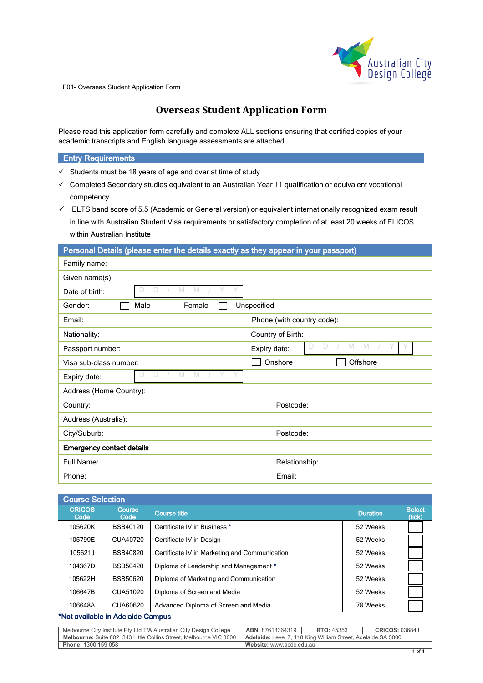

# **Overseas Student Application Form**

Please read this application form carefully and complete ALL sections ensuring that certified copies of your academic transcripts and English language assessments are attached.

## **Entry Requirements**

- $\checkmark$  Students must be 18 years of age and over at time of study
- Completed Secondary studies equivalent to an Australian Year 11 qualification or equivalent vocational competency
- $\checkmark$  IELTS band score of 5.5 (Academic or General version) or equivalent internationally recognized exam result in line with Australian Student Visa requirements or satisfactory completion of at least 20 weeks of ELICOS within Australian Institute

| Personal Details (please enter the details exactly as they appear in your passport) |                             |
|-------------------------------------------------------------------------------------|-----------------------------|
| Family name:                                                                        |                             |
| Given name(s):                                                                      |                             |
| M<br>M<br>D<br>D<br>Date of birth:                                                  |                             |
| Gender:<br>Male<br>Female                                                           | Unspecified                 |
| Email:                                                                              | Phone (with country code):  |
| Nationality:                                                                        | Country of Birth:           |
| Passport number:                                                                    | M<br>M<br>D<br>Expiry date: |
| Visa sub-class number:                                                              | Onshore<br>Offshore         |
| D<br>Expiry date:<br>IVI                                                            |                             |
| Address (Home Country):                                                             |                             |
| Country:                                                                            | Postcode:                   |
| Address (Australia):                                                                |                             |
| City/Suburb:                                                                        | Postcode:                   |
| <b>Emergency contact details</b>                                                    |                             |
| Full Name:                                                                          | Relationship:               |
| Phone:                                                                              | Email:                      |

| <b>Course Selection</b> |                 |                                               |                 |                         |
|-------------------------|-----------------|-----------------------------------------------|-----------------|-------------------------|
| <b>CRICOS</b><br>Code   | Course<br>Code  | <b>Course title</b>                           | <b>Duration</b> | <b>Select</b><br>(tick) |
| 105620K                 | BSB40120        | Certificate IV in Business *                  | 52 Weeks        |                         |
| 105799E                 | CUA40720        | Certificate IV in Design                      | 52 Weeks        |                         |
| 105621J                 | BSB40820        | Certificate IV in Marketing and Communication | 52 Weeks        |                         |
| 104367D                 | <b>BSB50420</b> | Diploma of Leadership and Management *        | 52 Weeks        |                         |
| 105622H                 | BSB50620        | Diploma of Marketing and Communication        | 52 Weeks        |                         |
| 106647B                 | CUA51020        | Diploma of Screen and Media                   | 52 Weeks        |                         |
| 106648A                 | CUA60620        | Advanced Diploma of Screen and Media          | 78 Weeks        |                         |

### \*Not available in Adelaide Campus

| Melbourne City Institute Pty Ltd T/A Australian City Design College        | ABN: 87618364319                                                    | <b>RTO: 45353</b> | <b>CRICOS: 03684J</b> |  |
|----------------------------------------------------------------------------|---------------------------------------------------------------------|-------------------|-----------------------|--|
| <b>Melbourne:</b> Suite 802, 343 Little Collins Street, Melbourne VIC 3000 | <b>Adelaide:</b> Level 7, 118 King William Street, Adelaide SA 5000 |                   |                       |  |
| <b>Phone: 1300 159 058</b>                                                 | Website: www.acdc.edu.au                                            |                   |                       |  |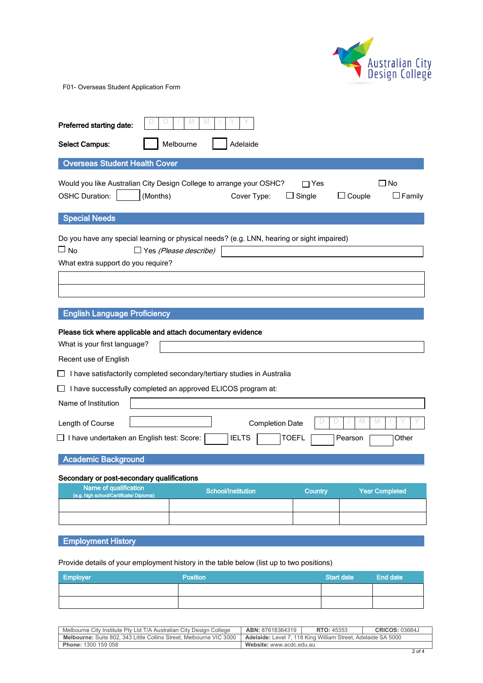

| Preferred starting date:<br>Melbourne<br>Adelaide<br><b>Select Campus:</b>                                                                   |                              |                                        |                        |                                        |  |  |
|----------------------------------------------------------------------------------------------------------------------------------------------|------------------------------|----------------------------------------|------------------------|----------------------------------------|--|--|
|                                                                                                                                              |                              |                                        |                        |                                        |  |  |
| <b>Overseas Student Health Cover</b>                                                                                                         |                              |                                        |                        |                                        |  |  |
| Would you like Australian City Design College to arrange your OSHC?<br><b>OSHC Duration:</b>                                                 | (Months)                     | Cover Type:                            | $\sqcap$ Yes<br>Single | ⊿ No<br>$\Box$ Couple<br>$\Box$ Family |  |  |
| <b>Special Needs</b>                                                                                                                         |                              |                                        |                        |                                        |  |  |
| Do you have any special learning or physical needs? (e.g. LNN, hearing or sight impaired)<br>$\Box$ No<br>What extra support do you require? | $\Box$ Yes (Please describe) |                                        |                        |                                        |  |  |
|                                                                                                                                              |                              |                                        |                        |                                        |  |  |
| <b>English Language Proficiency</b>                                                                                                          |                              |                                        |                        |                                        |  |  |
| Please tick where applicable and attach documentary evidence<br>What is your first language?                                                 |                              |                                        |                        |                                        |  |  |
| Recent use of English                                                                                                                        |                              |                                        |                        |                                        |  |  |
| $\Box$ I have satisfactorily completed secondary/tertiary studies in Australia                                                               |                              |                                        |                        |                                        |  |  |
| I have successfully completed an approved ELICOS program at:                                                                                 |                              |                                        |                        |                                        |  |  |
| Name of Institution                                                                                                                          |                              |                                        |                        |                                        |  |  |
| Length of Course<br>$\Box$ I have undertaken an English test: Score:                                                                         |                              | <b>Completion Date</b><br><b>IELTS</b> | <b>TOEFL</b>           | M<br>M<br>Other<br>Pearson             |  |  |
| <b>Academic Background</b>                                                                                                                   |                              |                                        |                        |                                        |  |  |
| Secondary or post-secondary qualifications                                                                                                   |                              |                                        |                        |                                        |  |  |
| Name of qualification<br>(e.g. high school/Certificate/ Diploma)                                                                             |                              | <b>School/Institution</b>              | <b>Country</b>         | <b>Year Completed</b>                  |  |  |
|                                                                                                                                              |                              |                                        |                        |                                        |  |  |
| <b>Employment History</b>                                                                                                                    |                              |                                        |                        |                                        |  |  |
|                                                                                                                                              |                              |                                        |                        |                                        |  |  |

Provide details of your employment history in the table below (list up to two positions)

| <b>Employer</b> | <b>Position</b> | Start date | <b>End date</b> |
|-----------------|-----------------|------------|-----------------|
|                 |                 |            |                 |
|                 |                 |            |                 |

| Melbourne City Institute Pty Ltd T/A Australian City Design College        | ABN: 87618364319                                             | <b>RTO: 45353</b> | $\cdot$ 03684.<br>CRICOS: |
|----------------------------------------------------------------------------|--------------------------------------------------------------|-------------------|---------------------------|
| <b>Melbourne:</b> Suite 802, 343 Little Collins Street, Melbourne VIC 3000 | Adelaide: Level 7, 118 King William Street, Adelaide SA 5000 |                   |                           |
| <b>Phone: 1300 159 058</b>                                                 | Website: www.acdc.edu.au                                     |                   |                           |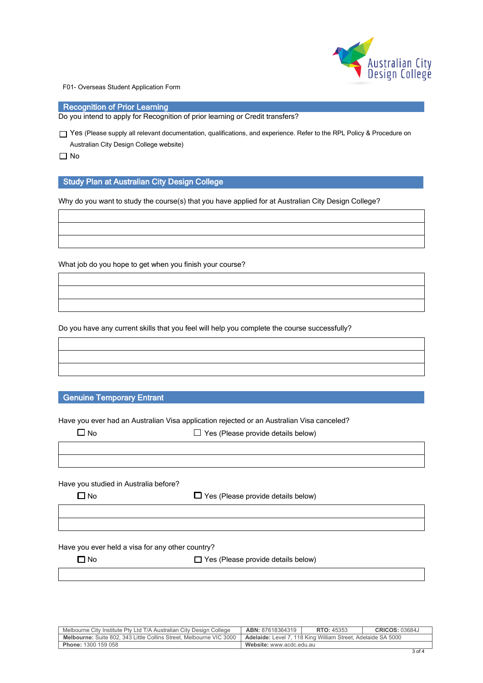

Recognition of Prior Learning

Do you intend to apply for Recognition of prior learning or Credit transfers?

Yes (Please supply all relevant documentation, qualifications, and experience. Refer to the RPL Policy & Procedure on Australian City Design College website)

 $\Box$  No

### Study Plan at Australian City Design College

Why do you want to study the course(s) that you have applied for at Australian City Design College?

What job do you hope to get when you finish your course?

Do you have any current skills that you feel will help you complete the course successfully?

Genuine Temporary Entrant

Have you ever had an Australian Visa application rejected or an Australian Visa canceled?

|--|

 $\Box$  Yes (Please provide details below)

Have you studied in Australia before?

 $\Box$  No  $\Box$  Yes (Please provide details below)

Have you ever held a visa for any other country?

 $\Box$  No  $\Box$  Yes (Please provide details below)

| Melbourne City Institute Pty Ltd T/A Australian City Design College        | <b>ABN: 87618364319</b>                                             | <b>RTO: 45353</b> | <b>CRICOS: 03684J</b> |
|----------------------------------------------------------------------------|---------------------------------------------------------------------|-------------------|-----------------------|
| <b>Melbourne:</b> Suite 802, 343 Little Collins Street, Melbourne VIC 3000 | <b>Adelaide:</b> Level 7, 118 King William Street, Adelaide SA 5000 |                   |                       |
| <b>Phone: 1300 159 058</b>                                                 | Website: www.acdc.edu.au                                            |                   |                       |